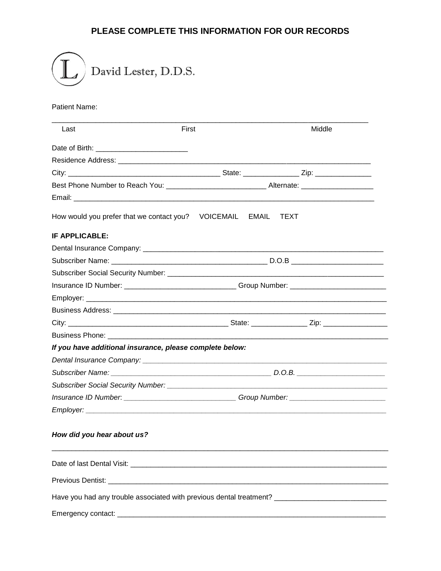## PLEASE COMPLETE THIS INFORMATION FOR OUR RECORDS



## **Patient Name:**

| Last                                                      | <b>First</b>                                                                     | <b>Middle</b>                                                                                        |  |  |
|-----------------------------------------------------------|----------------------------------------------------------------------------------|------------------------------------------------------------------------------------------------------|--|--|
|                                                           |                                                                                  |                                                                                                      |  |  |
|                                                           |                                                                                  |                                                                                                      |  |  |
|                                                           |                                                                                  |                                                                                                      |  |  |
|                                                           |                                                                                  | Best Phone Number to Reach You: ________________________________Alternate: _________________________ |  |  |
|                                                           |                                                                                  |                                                                                                      |  |  |
| How would you prefer that we contact you? VOICEMAIL EMAIL |                                                                                  | <b>TEXT</b>                                                                                          |  |  |
| <b>IF APPLICABLE:</b>                                     |                                                                                  |                                                                                                      |  |  |
|                                                           |                                                                                  |                                                                                                      |  |  |
|                                                           |                                                                                  |                                                                                                      |  |  |
|                                                           |                                                                                  |                                                                                                      |  |  |
|                                                           | Insurance ID Number: _____________________________Group Number: ________________ |                                                                                                      |  |  |
|                                                           |                                                                                  |                                                                                                      |  |  |
|                                                           |                                                                                  |                                                                                                      |  |  |
|                                                           |                                                                                  |                                                                                                      |  |  |
|                                                           |                                                                                  |                                                                                                      |  |  |
| If you have additional insurance, please complete below:  |                                                                                  |                                                                                                      |  |  |
|                                                           |                                                                                  |                                                                                                      |  |  |
|                                                           |                                                                                  |                                                                                                      |  |  |
|                                                           |                                                                                  |                                                                                                      |  |  |
|                                                           |                                                                                  | Insurance ID Number: ________________________________Group Number: _________________________________ |  |  |
|                                                           |                                                                                  |                                                                                                      |  |  |
| How did you hear about us?                                |                                                                                  |                                                                                                      |  |  |
|                                                           |                                                                                  |                                                                                                      |  |  |
|                                                           |                                                                                  |                                                                                                      |  |  |
|                                                           |                                                                                  | Have you had any trouble associated with previous dental treatment? ________________________________ |  |  |
|                                                           |                                                                                  |                                                                                                      |  |  |